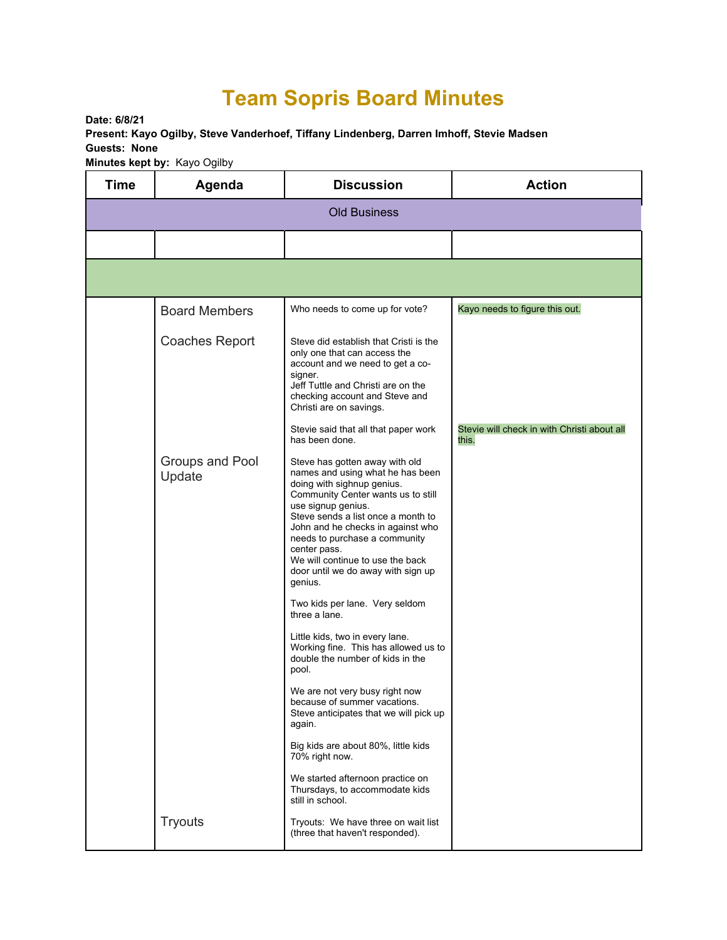## **Team Sopris Board Minutes**

**Date: 6/8/21 Present: Kayo Ogilby, Steve Vanderhoef, Tiffany Lindenberg, Darren Imhoff, Stevie Madsen Guests: None Minutes kept by:** Kayo Ogilby

| <b>Time</b>         | Agenda                    | <b>Discussion</b>                                                                                                                                                                                                                                                                                                                                                             | <b>Action</b>                                        |  |  |  |
|---------------------|---------------------------|-------------------------------------------------------------------------------------------------------------------------------------------------------------------------------------------------------------------------------------------------------------------------------------------------------------------------------------------------------------------------------|------------------------------------------------------|--|--|--|
| <b>Old Business</b> |                           |                                                                                                                                                                                                                                                                                                                                                                               |                                                      |  |  |  |
|                     |                           |                                                                                                                                                                                                                                                                                                                                                                               |                                                      |  |  |  |
|                     |                           |                                                                                                                                                                                                                                                                                                                                                                               |                                                      |  |  |  |
|                     | <b>Board Members</b>      | Who needs to come up for vote?                                                                                                                                                                                                                                                                                                                                                | Kayo needs to figure this out.                       |  |  |  |
|                     | <b>Coaches Report</b>     | Steve did establish that Cristi is the<br>only one that can access the<br>account and we need to get a co-<br>signer.<br>Jeff Tuttle and Christi are on the<br>checking account and Steve and<br>Christi are on savings.                                                                                                                                                      |                                                      |  |  |  |
|                     |                           | Stevie said that all that paper work<br>has been done.                                                                                                                                                                                                                                                                                                                        | Stevie will check in with Christi about all<br>this. |  |  |  |
|                     | Groups and Pool<br>Update | Steve has gotten away with old<br>names and using what he has been<br>doing with sighnup genius.<br>Community Center wants us to still<br>use signup genius.<br>Steve sends a list once a month to<br>John and he checks in against who<br>needs to purchase a community<br>center pass.<br>We will continue to use the back<br>door until we do away with sign up<br>genius. |                                                      |  |  |  |
|                     |                           | Two kids per lane. Very seldom<br>three a lane.                                                                                                                                                                                                                                                                                                                               |                                                      |  |  |  |
|                     |                           | Little kids, two in every lane.<br>Working fine. This has allowed us to<br>double the number of kids in the<br>pool.                                                                                                                                                                                                                                                          |                                                      |  |  |  |
|                     |                           | We are not very busy right now<br>because of summer vacations.<br>Steve anticipates that we will pick up<br>again.                                                                                                                                                                                                                                                            |                                                      |  |  |  |
|                     |                           | Big kids are about 80%, little kids<br>70% right now.                                                                                                                                                                                                                                                                                                                         |                                                      |  |  |  |
|                     |                           | We started afternoon practice on<br>Thursdays, to accommodate kids<br>still in school.                                                                                                                                                                                                                                                                                        |                                                      |  |  |  |
|                     | <b>Tryouts</b>            | Tryouts: We have three on wait list<br>(three that haven't responded).                                                                                                                                                                                                                                                                                                        |                                                      |  |  |  |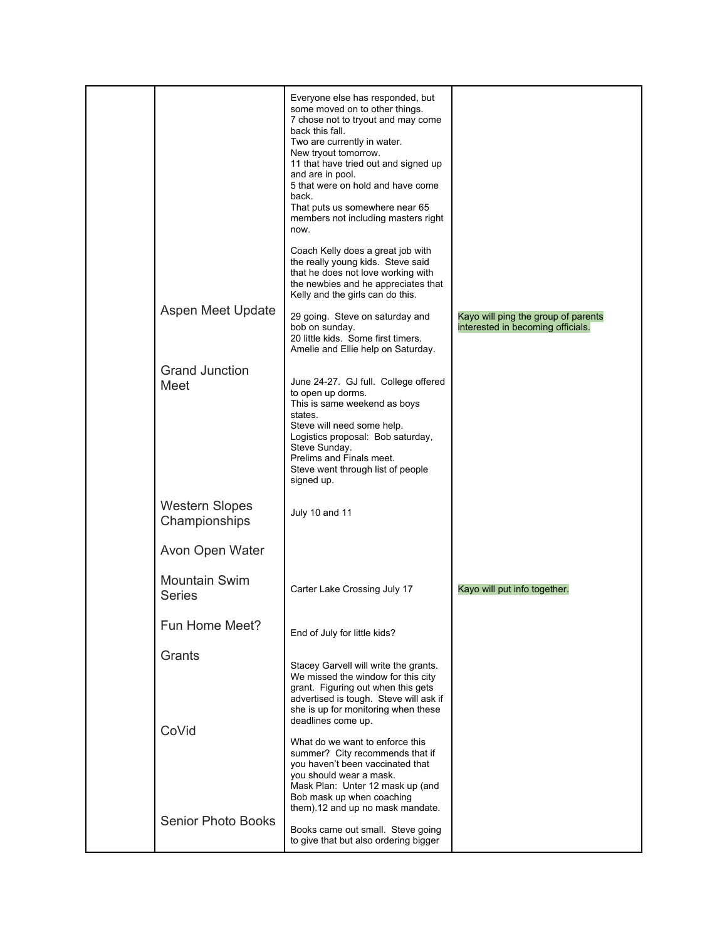|                                        | Everyone else has responded, but<br>some moved on to other things.<br>7 chose not to tryout and may come<br>back this fall.<br>Two are currently in water.<br>New tryout tomorrow.<br>11 that have tried out and signed up<br>and are in pool.<br>5 that were on hold and have come<br>back.<br>That puts us somewhere near 65<br>members not including masters right<br>now. |                                                                          |
|----------------------------------------|-------------------------------------------------------------------------------------------------------------------------------------------------------------------------------------------------------------------------------------------------------------------------------------------------------------------------------------------------------------------------------|--------------------------------------------------------------------------|
|                                        | Coach Kelly does a great job with<br>the really young kids. Steve said<br>that he does not love working with<br>the newbies and he appreciates that<br>Kelly and the girls can do this.                                                                                                                                                                                       |                                                                          |
| Aspen Meet Update                      | 29 going. Steve on saturday and<br>bob on sunday.<br>20 little kids. Some first timers.<br>Amelie and Ellie help on Saturday.                                                                                                                                                                                                                                                 | Kayo will ping the group of parents<br>interested in becoming officials. |
| <b>Grand Junction</b><br>Meet          | June 24-27. GJ full. College offered<br>to open up dorms.<br>This is same weekend as boys<br>states.<br>Steve will need some help.<br>Logistics proposal: Bob saturday,<br>Steve Sunday.<br>Prelims and Finals meet.<br>Steve went through list of people<br>signed up.                                                                                                       |                                                                          |
| <b>Western Slopes</b><br>Championships | July 10 and 11                                                                                                                                                                                                                                                                                                                                                                |                                                                          |
| Avon Open Water                        |                                                                                                                                                                                                                                                                                                                                                                               |                                                                          |
| <b>Mountain Swim</b><br><b>Series</b>  | Carter Lake Crossing July 17                                                                                                                                                                                                                                                                                                                                                  | Kayo will put info together.                                             |
| Fun Home Meet?                         | End of July for little kids?                                                                                                                                                                                                                                                                                                                                                  |                                                                          |
| Grants<br>CoVid                        | Stacey Garvell will write the grants.<br>We missed the window for this city<br>grant. Figuring out when this gets<br>advertised is tough. Steve will ask if<br>she is up for monitoring when these<br>deadlines come up.                                                                                                                                                      |                                                                          |
| <b>Senior Photo Books</b>              | What do we want to enforce this<br>summer? City recommends that if<br>you haven't been vaccinated that<br>you should wear a mask.<br>Mask Plan: Unter 12 mask up (and<br>Bob mask up when coaching<br>them).12 and up no mask mandate.                                                                                                                                        |                                                                          |
|                                        | Books came out small. Steve going<br>to give that but also ordering bigger                                                                                                                                                                                                                                                                                                    |                                                                          |